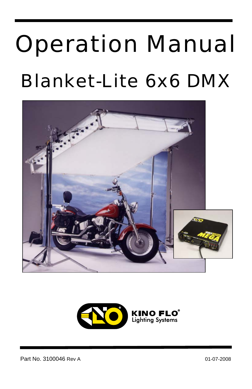# Operation Manual Blanket-Lite 6x6 DMX





Part No. 3100046 Rev A 01-07-2008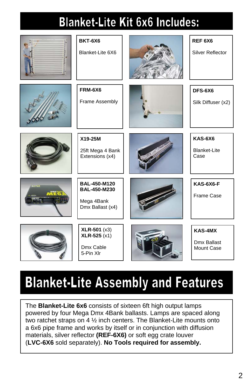### **Blanket-Lite Kit 6x6 Includes:**

|                  | <b>BKT-6X6</b><br>Blanket-Lite 6X6                                    | REF6X6<br>Silver Reflector                    |
|------------------|-----------------------------------------------------------------------|-----------------------------------------------|
|                  | <b>FRM-6X6</b><br>Frame Assembly                                      | DFS-6X6<br>Silk Diffuser (x2)                 |
|                  | X19-25M<br>25ft Mega 4 Bank<br>Extensions (x4)                        | <b>KAS-6X6</b><br><b>Blanket-Lite</b><br>Case |
| $\sim$<br>nÀ F C | BAL-450-M120<br><b>BAL-450-M230</b><br>Mega 4Bank<br>Dmx Ballast (x4) | KAS-6X6-F<br>Frame Case                       |
|                  | $XLR-501 (x3)$<br>$XLR-525(x1)$<br>Dmx Cable<br>5-Pin XIr             | KAS-4MX<br>Dmx Ballast<br><b>Mount Case</b>   |

### **Blanket-Lite Assembly and Features**

The **Blanket-Lite 6x6** consists of sixteen 6ft high output lamps powered by four Mega Dmx 4Bank ballasts. Lamps are spaced along two ratchet straps on 4 ½ inch centers. The Blanket-Lite mounts onto a 6x6 pipe frame and works by itself or in conjunction with diffusion materials, silver reflector **(REF-6X6)** or soft egg crate louver (**LVC-6X6** sold separately). **No Tools required for assembly.**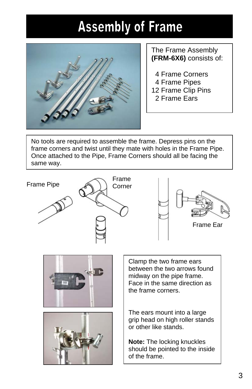### **Assembly of Frame**



### The Frame Assembly **(FRM-6X6)** consists of:

- 4 Frame Corners
- 4 Frame Pipes
- 12 Frame Clip Pins
	- 2 Frame Ears

No tools are required to assemble the frame. Depress pins on the frame corners and twist until they mate with holes in the Frame Pipe. Once attached to the Pipe, Frame Corners should all be facing the same way.

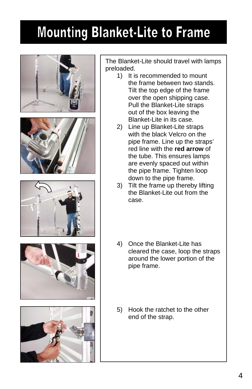### **Mounting Blanket-Lite to Frame**











The Blanket-Lite should travel with lamps preloaded.

- 1) It is recommended to mount the frame between two stands. Tilt the top edge of the frame over the open shipping case. Pull the Blanket-Lite straps out of the box leaving the Blanket-Lite in its case.
- 2) Line up Blanket-Lite straps with the black Velcro on the pipe frame. Line up the straps' red line with the **red arrow** of the tube. This ensures lamps are evenly spaced out within the pipe frame. Tighten loop down to the pipe frame.
- 3) Tilt the frame up thereby lifting the Blanket-Lite out from the case.
- 4) Once the Blanket-Lite has cleared the case, loop the straps around the lower portion of the pipe frame.
- 5) Hook the ratchet to the other end of the strap.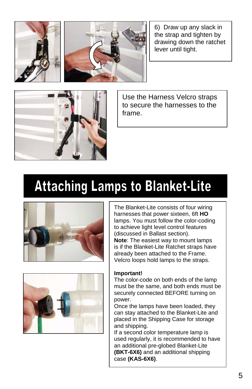6) Draw up any slack in the strap and tighten by drawing down the ratchet lever until tight.



Use the Harness Velcro straps to secure the harnesses to the frame.

### **Attaching Lamps to Blanket-Lite**





The Blanket-Lite consists of four wiring harnesses that power sixteen, 6ft **HO** lamps. You must follow the color-coding to achieve light level control features (discussed in Ballast section). **Note**: The easiest way to mount lamps is if the Blanket-Lite Ratchet straps have already been attached to the Frame. Velcro loops hold lamps to the straps.

#### **Important!**

The color-code on both ends of the lamp must be the same, and both ends must be securely connected BEFORE turning on power.

Once the lamps have been loaded, they can stay attached to the Blanket-Lite and placed in the Shipping Case for storage and shipping.

If a second color temperature lamp is used regularly, it is recommended to have an additional pre-globed Blanket-Lite **(BKT-6X6)** and an additional shipping case **(KAS-6X6)**.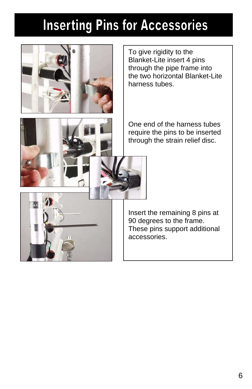### **Inserting Pins for Accessories**



To give rigidity to the Blanket-Lite insert 4 pins through the pipe frame into the two horizontal Blanket-Lite harness tubes.

One end of the harness tubes require the pins to be inserted through the strain relief disc.



Insert the remaining 8 pins at 90 degrees to the frame. These pins support additional accessories.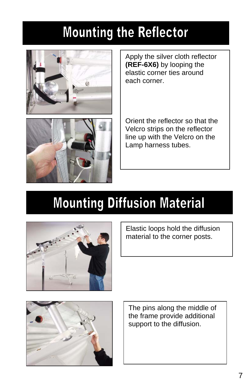### **Mounting the Reflector**



Apply the silver cloth reflector **(REF-6X6)** by looping the elastic corner ties around each corner.



Orient the reflector so that the Velcro strips on the reflector line up with the Velcro on the Lamp harness tubes.

### **Mounting Diffusion Material**



Elastic loops hold the diffusion material to the corner posts.



The pins along the middle of the frame provide additional support to the diffusion.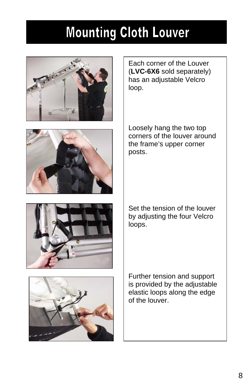### **Mounting Cloth Louver**





Each corner of the Louver (**LVC-6X6** sold separately) has an adjustable Velcro loop.

Loosely hang the two top corners of the louver around the frame's upper corner posts.



Set the tension of the louver by adjusting the four Velcro loops.



Further tension and support is provided by the adjustable elastic loops along the edge of the louver.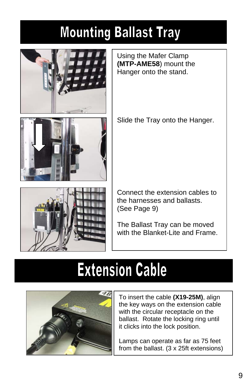### **Mounting Ballast Tray**



Using the Mafer Clamp **(MTP-AME58**) mount the Hanger onto the stand.

Slide the Tray onto the Hanger.





Connect the extension cables to the harnesses and ballasts. (See Page 9)

The Ballast Tray can be moved with the Blanket-Lite and Frame.

### **Extension Cable**



To insert the cable **(X19-25M)**, align the key ways on the extension cable with the circular receptacle on the ballast. Rotate the locking ring until it clicks into the lock position.

Lamps can operate as far as 75 feet from the ballast. (3 x 25ft extensions)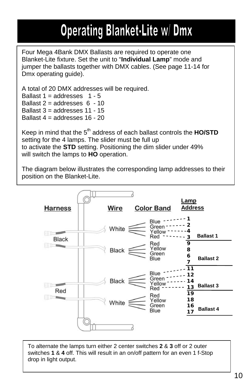### **Operating Blanket-Lite w/ Dmx**

Four Mega 4Bank DMX Ballasts are required to operate one Blanket-Lite fixture. Set the unit to "**Individual Lamp**" mode and jumper the ballasts together with DMX cables. (See page 11-14 for Dmx operating guide).

A total of 20 DMX addresses will be required.

Ballast  $1 =$  addresses  $1 - 5$ Ballast  $2 =$  addresses  $6 - 10$ Ballast  $3$  = addresses  $11 - 15$ Ballast  $4 =$  addresses  $16 - 20$ 

Keep in mind that the 5<sup>th</sup> address of each ballast controls the **HO/STD** setting for the 4 lamps. The slider must be full up to activate the **STD** setting. Positioning the dim slider under 49% will switch the lamps to **HO** operation.

The diagram below illustrates the corresponding lamp addresses to their position on the Blanket-Lite.



To alternate the lamps turn either 2 center switches **2** & **3** off or 2 outer switches **1** & **4** off. This will result in an on/off pattern for an even 1 f-Stop drop in light output.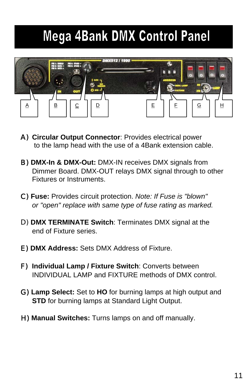### **Mega 4Bank DMX Control Panel**



- A) **Circular Output Connector**: Provides electrical power to the lamp head with the use of a 4Bank extension cable.
- B) **DMX-In & DMX-Out:** DMX-IN receives DMX signals from Dimmer Board. DMX-OUT relays DMX signal through to other Fixtures or Instruments.
- C) **Fuse:** Provides circuit protection. *Note: If Fuse is "blown" or "open" replace with same type of fuse rating as marked.*
- D) **DMX TERMINATE Switch**: Terminates DMX signal at the end of Fixture series.
- E) **DMX Address:** Sets DMX Address of Fixture.
- F) **Individual Lamp / Fixture Switch**: Converts between INDIVIDUAL LAMP and FIXTURE methods of DMX control.
- G) **Lamp Select:** Set to **HO** for burning lamps at high output and **STD** for burning lamps at Standard Light Output.
- H) **Manual Switches:** Turns lamps on and off manually.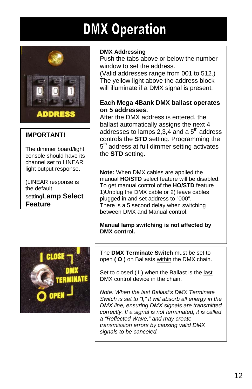### **DMX Operation**



#### **IMPORTANT!**

The dimmer board/light console should have its channel set to LINEAR light output response.

(LINEAR response is the default setting**Lamp Select Feature**

#### **DMX Addressing**

Push the tabs above or below the number window to set the address.

(Valid addresses range from 001 to 512.) The yellow light above the address block will illuminate if a DMX signal is present.

#### **Each Mega 4Bank DMX ballast operates on 5 addresses.**

After the DMX address is entered, the ballast automatically assigns the next 4 addresses to lamps  $2,3,4$  and a  $5<sup>th</sup>$  address controls the **STD** setting. Programming the  $5<sup>th</sup>$  address at full dimmer setting activates the **STD** setting.

**Note:** When DMX cables are applied the manual **HO/STD** select feature will be disabled. To get manual control of the **HO/STD** feature 1)Unplug the DMX cable or 2) leave cables plugged in and set address to "000". There is a 5 second delay when switching between DMX and Manual control.

**Manual lamp switching is not affected by DMX control.** 



The **DMX Terminate Switch** must be set to open **( O )** on Ballasts within the DMX chain.

Set to closed ( **I** ) when the Ballast is the last DMX control device in the chain.

*Note: When the last Ballast's DMX Terminate Switch is set to "I," it will absorb all energy in the DMX line, ensuring DMX signals are transmitted correctly. If a signal is not terminated, it is called a "Reflected Wave," and may create transmission errors by causing valid DMX signals to be canceled.*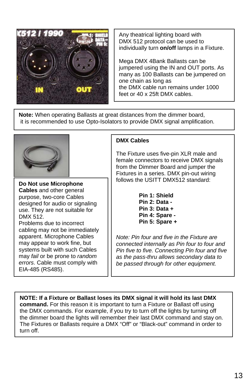

DMX 512 protocol can be used to individually turn **on/off** lamps in a Fixture. Mega DMX 4Bank Ballasts can be jumpered using the IN and OUT ports. As many as 100 Ballasts can be jumpered on one chain as long as the DMX cable run remains under 1000 feet or 40 x 25ft DMX cables.

Any theatrical lighting board with

**Note:** When operating Ballasts at great distances from the dimmer board, it is recommended to use Opto-Isolators to provide DMX signal amplification.



**Do Not use Microphone Cables** and other general purpose, two-core Cables designed for audio or signaling use. They are not suitable for DMX 512. Problems due to incorrect

cabling may not be immediately apparent. Microphone Cables may appear to work fine, but systems built with such Cables may *fail* or be prone to *random errors*. Cable must comply with EIA-485 (RS485).

#### **DMX Cables**

The Fixture uses five-pin XLR male and female connectors to receive DMX signals from the Dimmer Board and jumper the Fixtures in a series. DMX pin-out wiring follows the USITT DMX512 standard:

> **Pin 1: Shield Pin 2: Data - Pin 3: Data + Pin 4: Spare - Pin 5: Spare +**

*Note: Pin four and five in the Fixture are connected internally as Pin four to four and Pin five to five. Connecting Pin four and five as the pass-thru allows secondary data to be passed through for other equipment.*

**NOTE: If a Fixture or Ballast loses its DMX signal it will hold its last DMX command.** For this reason it is important to turn a Fixture or Ballast off using the DMX commands. For example, if you try to turn off the lights by turning off the dimmer board the lights will remember their last DMX command and stay on. The Fixtures or Ballasts require a DMX "Off" or "Black-out" command in order to turn off.

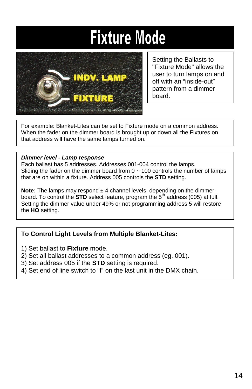### **Fixture Mode**



Setting the Ballasts to "Fixture Mode" allows the user to turn lamps on and off with an "inside-out" pattern from a dimmer board.

For example: Blanket-Lites can be set to Fixture mode on a common address. When the fader on the dimmer board is brought up or down all the Fixtures on that address will have the same lamps turned on.

#### *Dimmer level - Lamp response*

Each ballast has 5 addresses. Addresses 001-004 control the lamps. Sliding the fader on the dimmer board from  $0 \sim 100$  controls the number of lamps that are on within a fixture. Address 005 controls the **STD** setting.

**Note:** The lamps may respond  $\pm$  4 channel levels, depending on the dimmer board. To control the **STD** select feature, program the  $5<sup>th</sup>$  address (005) at full. Setting the dimmer value under 49% or not programming address 5 will restore the **HO** setting.

#### **To Control Light Levels from Multiple Blanket-Lites:**

- 1) Set ballast to **Fixture** mode.
- 2) Set all ballast addresses to a common address (eg. 001).
- 3) Set address 005 if the **STD** setting is required.
- 4) Set end of line switch to "**I**" on the last unit in the DMX chain.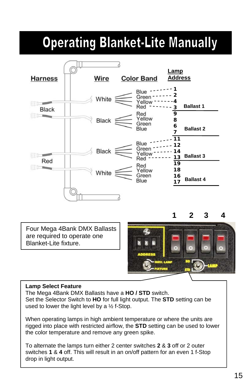### **Operating Blanket-Lite Manually**



Four Mega 4Bank DMX Ballasts are required to operate one Blanket-Lite fixture.

**1 2 3 4**



#### **Lamp Select Feature**

The Mega 4Bank DMX Ballasts have a **HO / STD** switch. Set the Selector Switch to **HO** for full light output. The **STD** setting can be used to lower the light level by a  $\frac{1}{2}$  f-Stop.

When operating lamps in high ambient temperature or where the units are rigged into place with restricted airflow, the **STD** setting can be used to lower the color temperature and remove any green spike.

To alternate the lamps turn either 2 center switches **2** & **3** off or 2 outer switches **1** & **4** off. This will result in an on/off pattern for an even 1 f-Stop drop in light output.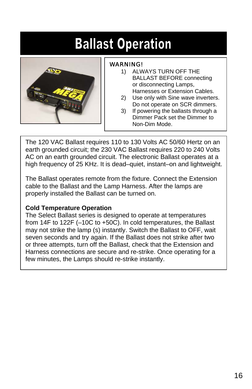### **Ballast Operation**



#### WARNING!

- 1) ALWAYS TURN OFF THE BALLAST BEFORE connecting or disconnecting Lamps, Harnesses or Extension Cables.
- 2) Use only with Sine wave inverters. Do not operate on SCR dimmers.
- 3) If powering the ballasts through a Dimmer Pack set the Dimmer to Non-Dim Mode.

The 120 VAC Ballast requires 110 to 130 Volts AC 50/60 Hertz on an earth grounded circuit; the 230 VAC Ballast requires 220 to 240 Volts AC on an earth grounded circuit. The electronic Ballast operates at a high frequency of 25 KHz. It is dead–quiet, instant–on and lightweight.

The Ballast operates remote from the fixture. Connect the Extension cable to the Ballast and the Lamp Harness. After the lamps are properly installed the Ballast can be turned on.

#### **Cold Temperature Operation**

The Select Ballast series is designed to operate at temperatures from 14F to 122F (–10C to +50C). In cold temperatures, the Ballast may not strike the lamp (s) instantly. Switch the Ballast to OFF, wait seven seconds and try again. If the Ballast does not strike after two or three attempts, turn off the Ballast, check that the Extension and Harness connections are secure and re-strike. Once operating for a few minutes, the Lamps should re-strike instantly.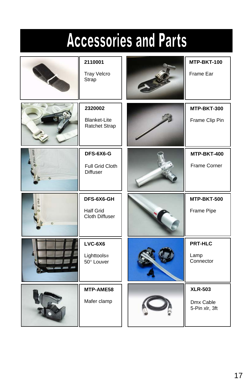## **Accessories and Parts**

| 2110001<br><b>Tray Velcro</b><br>Strap           | MTP-BKT-100<br>Frame Ear            |
|--------------------------------------------------|-------------------------------------|
| 2320002<br><b>Blanket-Lite</b><br>Ratchet Strap  | MTP-BKT-300<br>Frame Clip Pin       |
| DFS-6X6-G<br>Full Grid Cloth<br><b>Diffuser</b>  | MTP-BKT-400<br>Frame Corner         |
|                                                  |                                     |
| DFS-6X6-GH<br><b>Half Grid</b><br>Cloth Diffuser | MTP-BKT-500<br>Frame Pipe           |
| $LVC-6X6$<br>Lighttools®<br>50° Louver           | <b>PRT-HLC</b><br>Lamp<br>Connector |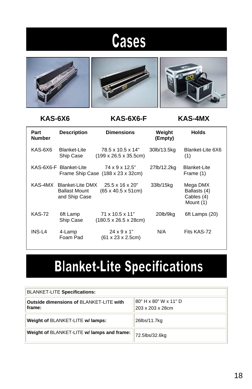### **Cases**



### **KAS-6X6 KAS-6X6-F KAS-4MX**

| Part<br>Number | <b>Description</b>                                               | <b>Dimensions</b>                                                                    | Weight<br>(Empty) | <b>Holds</b>                                        |
|----------------|------------------------------------------------------------------|--------------------------------------------------------------------------------------|-------------------|-----------------------------------------------------|
| KAS-6X6        | Blanket-Lite<br>Ship Case                                        | 78.5 x 10.5 x 14"<br>$(199 \times 26.5 \times 35.5$ cm)                              | 30lb/13.5kg       | Blanket-Lite 6X6<br>(1)                             |
|                | KAS-6X6-F Blanket-Lite                                           | $74 \times 9 \times 12.5$ "<br>Frame Ship Case $(188 \times 23 \times 32 \text{cm})$ | 27lb/12.2kg       | Blanket-Lite<br>Frame (1)                           |
| KAS-4MX        | <b>Blanket-Lite DMX</b><br><b>Ballast Mount</b><br>and Ship Case | $25.5 \times 16 \times 20"$<br>$(65 \times 40.5 \times 51 \text{cm})$                | 33lb/15kg         | Mega DMX<br>Ballasts (4)<br>Cables (4)<br>Mount (1) |
| <b>KAS-72</b>  | 6ft Lamp<br>Ship Case                                            | $71 \times 10.5 \times 11$ "<br>$(180.5 \times 26.5 \times 28$ cm)                   | 20lb/9kg          | 6ft Lamps (20)                                      |
| INS-L4         | 4-Lamp<br>Foam Pad                                               | $24 \times 9 \times 1$ "<br>$(61 \times 23 \times 2.5 \text{cm})$                    | N/A               | Fits KAS-72                                         |

### **Blanket-Lite Specifications**

| <b>BLANKET-LITE Specifications:</b>                      |                                           |  |
|----------------------------------------------------------|-------------------------------------------|--|
| <b>Outside dimensions of BLANKET-LITE with</b><br>frame: | 80" H x 80" W x 11" D<br>203 x 203 x 28cm |  |
| Weight of BLANKET-LITE w/ lamps:                         | 26lbs/11.7kg                              |  |
| Weight of BLANKET-LITE w/ lamps and frame:               | 72.5lbs/32.6kg                            |  |